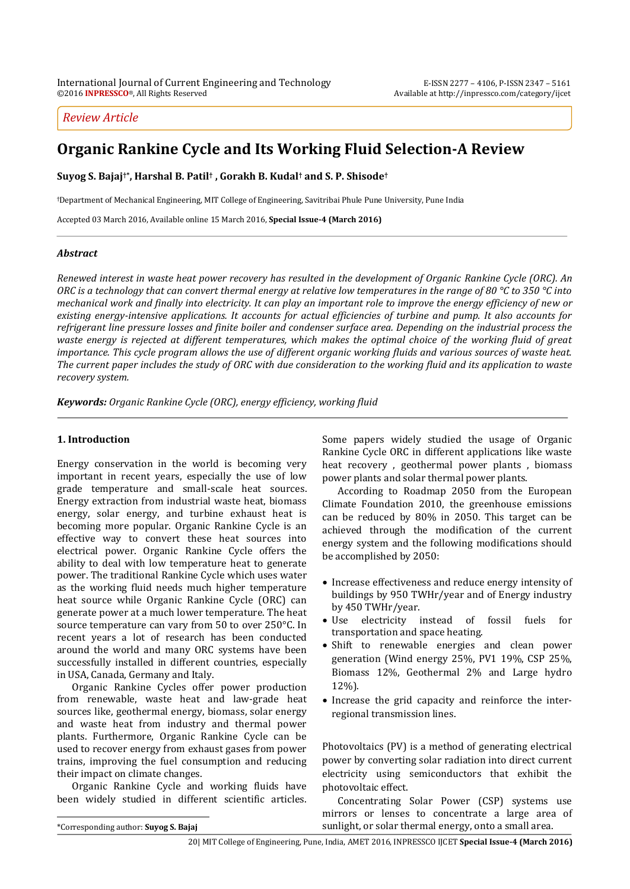# *Review Article*

# **Organic Rankine Cycle and Its Working Fluid Selection-A Review**

**Suyog S. Bajaj†\* , Harshal B. Patil† , Gorakh B. Kudal† and S. P. Shisode†**

<sup>ϯ</sup>Department of Mechanical Engineering, MIT College of Engineering, Savitribai Phule Pune University, Pune India

Accepted 03 March 2016, Available online 15 March 2016, **Special Issue-4 (March 2016)**

#### *Abstract*

*Renewed interest in waste heat power recovery has resulted in the development of Organic Rankine Cycle (ORC). An ORC is a technology that can convert thermal energy at relative low temperatures in the range of 80 °C to 350 °C into mechanical work and finally into electricity. It can play an important role to improve the energy efficiency of new or existing energy-intensive applications. It accounts for actual efficiencies of turbine and pump. It also accounts for refrigerant line pressure losses and finite boiler and condenser surface area. Depending on the industrial process the waste energy is rejected at different temperatures, which makes the optimal choice of the working fluid of great importance. This cycle program allows the use of different organic working fluids and various sources of waste heat. The current paper includes the study of ORC with due consideration to the working fluid and its application to waste recovery system.* 

*Keywords: Organic Rankine Cycle (ORC), energy efficiency, working fluid* 

#### **1. Introduction**

Energy conservation in the world is becoming very important in recent years, especially the use of low grade temperature and small-scale heat sources. Energy extraction from industrial waste heat, biomass energy, solar energy, and turbine exhaust heat is becoming more popular. Organic Rankine Cycle is an effective way to convert these heat sources into electrical power. Organic Rankine Cycle offers the ability to deal with low temperature heat to generate power. The traditional Rankine Cycle which uses water as the working fluid needs much higher temperature heat source while Organic Rankine Cycle (ORC) can generate power at a much lower temperature. The heat source temperature can vary from 50 to over 250°C. In recent years a lot of research has been conducted around the world and many ORC systems have been successfully installed in different countries, especially in USA, Canada, Germany and Italy.

 Organic Rankine Cycles offer power production from renewable, waste heat and law-grade heat sources like, geothermal energy, biomass, solar energy and waste heat from industry and thermal power plants. Furthermore, Organic Rankine Cycle can be used to recover energy from exhaust gases from power trains, improving the fuel consumption and reducing their impact on climate changes.

 Organic Rankine Cycle and working fluids have been widely studied in different scientific articles. Some papers widely studied the usage of Organic Rankine Cycle ORC in different applications like waste heat recovery , geothermal power plants , biomass power plants and solar thermal power plants.

 According to Roadmap 2050 from the European Climate Foundation 2010, the greenhouse emissions can be reduced by 80% in 2050. This target can be achieved through the modification of the current energy system and the following modifications should be accomplished by 2050:

- Increase effectiveness and reduce energy intensity of buildings by 950 TWHr/year and of Energy industry by 450 TWHr/year.
- Use electricity instead of fossil fuels for transportation and space heating.
- Shift to renewable energies and clean power generation (Wind energy 25%, PV1 19%, CSP 25%, Biomass 12%, Geothermal 2% and Large hydro 12%).
- Increase the grid capacity and reinforce the interregional transmission lines.

Photovoltaics (PV) is a method of generating electrical power by converting solar radiation into direct current electricity using semiconductors that exhibit the photovoltaic effect.

 Concentrating Solar Power (CSP) systems use mirrors or lenses to concentrate a large area of sunlight, or solar thermal energy, onto a small area.

 $\overline{a}$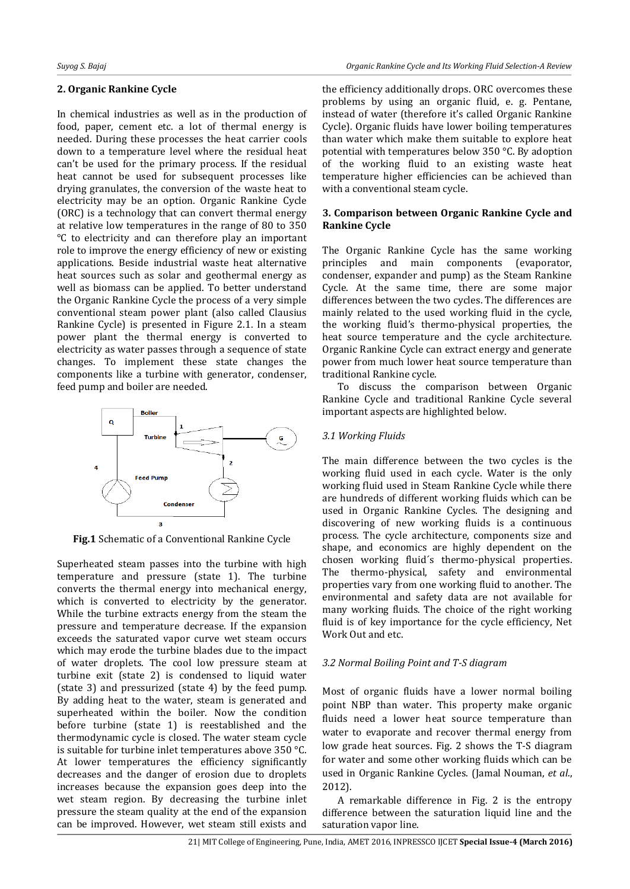### **2. Organic Rankine Cycle**

In chemical industries as well as in the production of food, paper, cement etc. a lot of thermal energy is needed. During these processes the heat carrier cools down to a temperature level where the residual heat can't be used for the primary process. If the residual heat cannot be used for subsequent processes like drying granulates, the conversion of the waste heat to electricity may be an option. Organic Rankine Cycle (ORC) is a technology that can convert thermal energy at relative low temperatures in the range of 80 to 350 °C to electricity and can therefore play an important role to improve the energy efficiency of new or existing applications. Beside industrial waste heat alternative heat sources such as solar and geothermal energy as well as biomass can be applied. To better understand the Organic Rankine Cycle the process of a very simple conventional steam power plant (also called Clausius Rankine Cycle) is presented in Figure 2.1. In a steam power plant the thermal energy is converted to electricity as water passes through a sequence of state changes. To implement these state changes the components like a turbine with generator, condenser, feed pump and boiler are needed.



**Fig.1** Schematic of a Conventional Rankine Cycle

Superheated steam passes into the turbine with high temperature and pressure (state 1). The turbine converts the thermal energy into mechanical energy, which is converted to electricity by the generator. While the turbine extracts energy from the steam the pressure and temperature decrease. If the expansion exceeds the saturated vapor curve wet steam occurs which may erode the turbine blades due to the impact of water droplets. The cool low pressure steam at turbine exit (state 2) is condensed to liquid water (state 3) and pressurized (state 4) by the feed pump. By adding heat to the water, steam is generated and superheated within the boiler. Now the condition before turbine (state 1) is reestablished and the thermodynamic cycle is closed. The water steam cycle is suitable for turbine inlet temperatures above 350 °C. At lower temperatures the efficiency significantly decreases and the danger of erosion due to droplets increases because the expansion goes deep into the wet steam region. By decreasing the turbine inlet pressure the steam quality at the end of the expansion can be improved. However, wet steam still exists and

the efficiency additionally drops. ORC overcomes these problems by using an organic fluid, e. g. Pentane, instead of water (therefore it's called Organic Rankine Cycle). Organic fluids have lower boiling temperatures than water which make them suitable to explore heat potential with temperatures below 350 °C. By adoption of the working fluid to an existing waste heat temperature higher efficiencies can be achieved than with a conventional steam cycle.

### **3. Comparison between Organic Rankine Cycle and Rankine Cycle**

The Organic Rankine Cycle has the same working principles and main components (evaporator, condenser, expander and pump) as the Steam Rankine Cycle. At the same time, there are some major differences between the two cycles. The differences are mainly related to the used working fluid in the cycle, the working fluid's thermo-physical properties, the heat source temperature and the cycle architecture. Organic Rankine Cycle can extract energy and generate power from much lower heat source temperature than traditional Rankine cycle.

To discuss the comparison between Organic Rankine Cycle and traditional Rankine Cycle several important aspects are highlighted below.

# *3.1 Working Fluids*

The main difference between the two cycles is the working fluid used in each cycle. Water is the only working fluid used in Steam Rankine Cycle while there are hundreds of different working fluids which can be used in Organic Rankine Cycles. The designing and discovering of new working fluids is a continuous process. The cycle architecture, components size and shape, and economics are highly dependent on the chosen working fluid´s thermo-physical properties. The thermo-physical, safety and environmental properties vary from one working fluid to another. The environmental and safety data are not available for many working fluids. The choice of the right working fluid is of key importance for the cycle efficiency, Net Work Out and etc.

#### *3.2 Normal Boiling Point and T-S diagram*

Most of organic fluids have a lower normal boiling point NBP than water. This property make organic fluids need a lower heat source temperature than water to evaporate and recover thermal energy from low grade heat sources. Fig. 2 shows the T-S diagram for water and some other working fluids which can be used in Organic Rankine Cycles. (Jamal Nouman, *et al*., 2012).

 A remarkable difference in Fig. 2 is the entropy difference between the saturation liquid line and the saturation vapor line.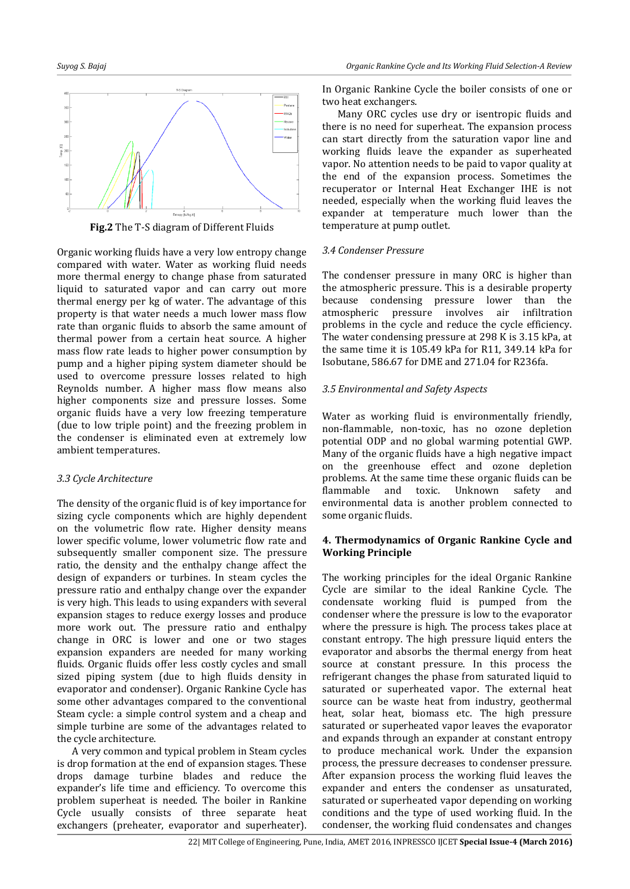

**Fig.2** The T-S diagram of Different Fluids

Organic working fluids have a very low entropy change compared with water. Water as working fluid needs more thermal energy to change phase from saturated liquid to saturated vapor and can carry out more thermal energy per kg of water. The advantage of this property is that water needs a much lower mass flow rate than organic fluids to absorb the same amount of thermal power from a certain heat source. A higher mass flow rate leads to higher power consumption by pump and a higher piping system diameter should be used to overcome pressure losses related to high Reynolds number. A higher mass flow means also higher components size and pressure losses. Some organic fluids have a very low freezing temperature (due to low triple point) and the freezing problem in the condenser is eliminated even at extremely low ambient temperatures.

# *3.3 Cycle Architecture*

The density of the organic fluid is of key importance for sizing cycle components which are highly dependent on the volumetric flow rate. Higher density means lower specific volume, lower volumetric flow rate and subsequently smaller component size. The pressure ratio, the density and the enthalpy change affect the design of expanders or turbines. In steam cycles the pressure ratio and enthalpy change over the expander is very high. This leads to using expanders with several expansion stages to reduce exergy losses and produce more work out. The pressure ratio and enthalpy change in ORC is lower and one or two stages expansion expanders are needed for many working fluids. Organic fluids offer less costly cycles and small sized piping system (due to high fluids density in evaporator and condenser). Organic Rankine Cycle has some other advantages compared to the conventional Steam cycle: a simple control system and a cheap and simple turbine are some of the advantages related to the cycle architecture.

A very common and typical problem in Steam cycles is drop formation at the end of expansion stages. These drops damage turbine blades and reduce the expander's life time and efficiency. To overcome this problem superheat is needed. The boiler in Rankine Cycle usually consists of three separate heat exchangers (preheater, evaporator and superheater).

In Organic Rankine Cycle the boiler consists of one or two heat exchangers.

Many ORC cycles use dry or isentropic fluids and there is no need for superheat. The expansion process can start directly from the saturation vapor line and working fluids leave the expander as superheated vapor. No attention needs to be paid to vapor quality at the end of the expansion process. Sometimes the recuperator or Internal Heat Exchanger IHE is not needed, especially when the working fluid leaves the expander at temperature much lower than the temperature at pump outlet.

# *3.4 Condenser Pressure*

The condenser pressure in many ORC is higher than the atmospheric pressure. This is a desirable property because condensing pressure lower than the atmospheric pressure involves air infiltration problems in the cycle and reduce the cycle efficiency. The water condensing pressure at 298 K is 3.15 kPa, at the same time it is 105.49 kPa for R11, 349.14 kPa for Isobutane, 586.67 for DME and 271.04 for R236fa.

# *3.5 Environmental and Safety Aspects*

Water as working fluid is environmentally friendly, non-flammable, non-toxic, has no ozone depletion potential ODP and no global warming potential GWP. Many of the organic fluids have a high negative impact on the greenhouse effect and ozone depletion problems. At the same time these organic fluids can be flammable and toxic. Unknown safety and environmental data is another problem connected to some organic fluids.

# **4. Thermodynamics of Organic Rankine Cycle and Working Principle**

The working principles for the ideal Organic Rankine Cycle are similar to the ideal Rankine Cycle. The condensate working fluid is pumped from the condenser where the pressure is low to the evaporator where the pressure is high. The process takes place at constant entropy. The high pressure liquid enters the evaporator and absorbs the thermal energy from heat source at constant pressure. In this process the refrigerant changes the phase from saturated liquid to saturated or superheated vapor. The external heat source can be waste heat from industry, geothermal heat, solar heat, biomass etc. The high pressure saturated or superheated vapor leaves the evaporator and expands through an expander at constant entropy to produce mechanical work. Under the expansion process, the pressure decreases to condenser pressure. After expansion process the working fluid leaves the expander and enters the condenser as unsaturated, saturated or superheated vapor depending on working conditions and the type of used working fluid. In the condenser, the working fluid condensates and changes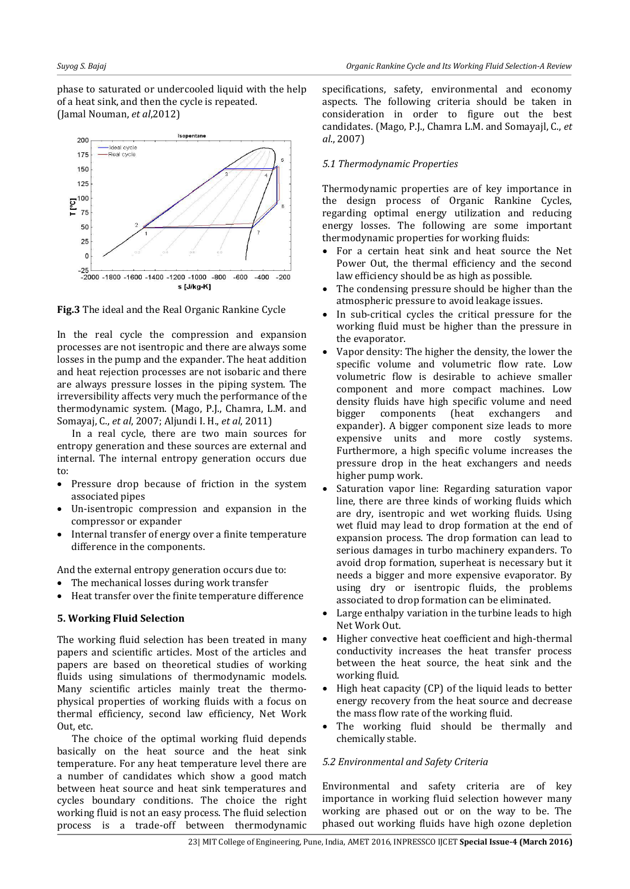phase to saturated or undercooled liquid with the help of a heat sink, and then the cycle is repeated. (Jamal Nouman, *et al*,2012)



**Fig.3** The ideal and the Real Organic Rankine Cycle

In the real cycle the compression and expansion processes are not isentropic and there are always some losses in the pump and the expander. The heat addition and heat rejection processes are not isobaric and there are always pressure losses in the piping system. The irreversibility affects very much the performance of the thermodynamic system. (Mago, P.J., Chamra, L.M. and Somayaj, C., *et al*, 2007; Aljundi I. H., *et al*, 2011)

 In a real cycle, there are two main sources for entropy generation and these sources are external and internal. The internal entropy generation occurs due to:

- Pressure drop because of friction in the system associated pipes
- Un-isentropic compression and expansion in the compressor or expander
- Internal transfer of energy over a finite temperature difference in the components.

And the external entropy generation occurs due to:

- The mechanical losses during work transfer
- Heat transfer over the finite temperature difference

#### **5. Working Fluid Selection**

The working fluid selection has been treated in many papers and scientific articles. Most of the articles and papers are based on theoretical studies of working fluids using simulations of thermodynamic models. Many scientific articles mainly treat the thermophysical properties of working fluids with a focus on thermal efficiency, second law efficiency, Net Work Out, etc.

 The choice of the optimal working fluid depends basically on the heat source and the heat sink temperature. For any heat temperature level there are a number of candidates which show a good match between heat source and heat sink temperatures and cycles boundary conditions. The choice the right working fluid is not an easy process. The fluid selection process is a trade-off between thermodynamic

specifications, safety, environmental and economy aspects. The following criteria should be taken in consideration in order to figure out the best candidates. (Mago, P.J., Chamra L.M. and Somayajl, C., *et al*., 2007)

# *5.1 Thermodynamic Properties*

Thermodynamic properties are of key importance in the design process of Organic Rankine Cycles, regarding optimal energy utilization and reducing energy losses. The following are some important thermodynamic properties for working fluids:

- For a certain heat sink and heat source the Net Power Out, the thermal efficiency and the second law efficiency should be as high as possible.
- The condensing pressure should be higher than the atmospheric pressure to avoid leakage issues.
- In sub-critical cycles the critical pressure for the working fluid must be higher than the pressure in the evaporator.
- Vapor density: The higher the density, the lower the specific volume and volumetric flow rate. Low volumetric flow is desirable to achieve smaller component and more compact machines. Low density fluids have high specific volume and need bigger components (heat exchangers and expander). A bigger component size leads to more expensive units and more costly systems. Furthermore, a high specific volume increases the pressure drop in the heat exchangers and needs higher pump work.
- Saturation vapor line: Regarding saturation vapor line, there are three kinds of working fluids which are dry, isentropic and wet working fluids. Using wet fluid may lead to drop formation at the end of expansion process. The drop formation can lead to serious damages in turbo machinery expanders. To avoid drop formation, superheat is necessary but it needs a bigger and more expensive evaporator. By using dry or isentropic fluids, the problems associated to drop formation can be eliminated.
- Large enthalpy variation in the turbine leads to high Net Work Out.
- Higher convective heat coefficient and high-thermal conductivity increases the heat transfer process between the heat source, the heat sink and the working fluid.
- High heat capacity (CP) of the liquid leads to better energy recovery from the heat source and decrease the mass flow rate of the working fluid.
- The working fluid should be thermally and chemically stable.

# *5.2 Environmental and Safety Criteria*

Environmental and safety criteria are of key importance in working fluid selection however many working are phased out or on the way to be. The phased out working fluids have high ozone depletion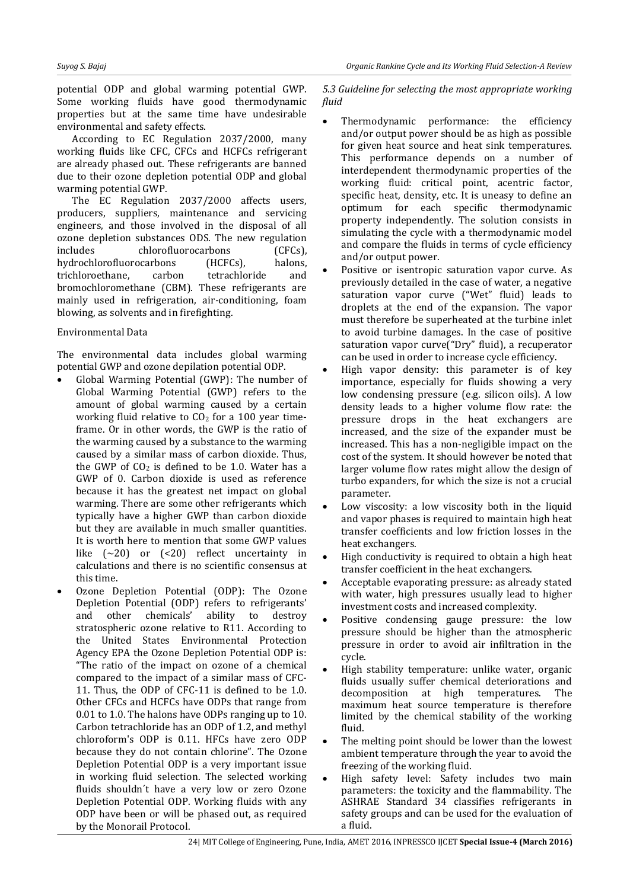potential ODP and global warming potential GWP. Some working fluids have good thermodynamic properties but at the same time have undesirable environmental and safety effects.

 According to EC Regulation 2037/2000, many working fluids like CFC, CFCs and HCFCs refrigerant are already phased out. These refrigerants are banned due to their ozone depletion potential ODP and global warming potential GWP.

The EC Regulation 2037/2000 affects users, producers, suppliers, maintenance and servicing engineers, and those involved in the disposal of all ozone depletion substances ODS. The new regulation includes chlorofluorocarbons (CFCs), hydrochlorofluorocarbons (HCFCs), halons, trichloroethane, carbon tetrachloride and bromochloromethane (CBM). These refrigerants are mainly used in refrigeration, air-conditioning, foam blowing, as solvents and in firefighting.

#### Environmental Data

The environmental data includes global warming potential GWP and ozone depilation potential ODP.

- Global Warming Potential (GWP): The number of Global Warming Potential (GWP) refers to the amount of global warming caused by a certain working fluid relative to  $CO<sub>2</sub>$  for a 100 year timeframe. Or in other words, the GWP is the ratio of the warming caused by a substance to the warming caused by a similar mass of carbon dioxide. Thus, the GWP of  $CO<sub>2</sub>$  is defined to be 1.0. Water has a GWP of 0. Carbon dioxide is used as reference because it has the greatest net impact on global warming. There are some other refrigerants which typically have a higher GWP than carbon dioxide but they are available in much smaller quantities. It is worth here to mention that some GWP values like (~20) or (<20) reflect uncertainty in calculations and there is no scientific consensus at this time.
- Ozone Depletion Potential (ODP): The Ozone Depletion Potential (ODP) refers to refrigerants'<br>and other chemicals' ability to destroy and other chemicals' stratospheric ozone relative to R11. According to the United States Environmental Protection Agency EPA the Ozone Depletion Potential ODP is: "The ratio of the impact on ozone of a chemical compared to the impact of a similar mass of CFC-11. Thus, the ODP of CFC-11 is defined to be 1.0. Other CFCs and HCFCs have ODPs that range from 0.01 to 1.0. The halons have ODPs ranging up to 10. Carbon tetrachloride has an ODP of 1.2, and methyl chloroform's ODP is 0.11. HFCs have zero ODP because they do not contain chlorine". The Ozone Depletion Potential ODP is a very important issue in working fluid selection. The selected working fluids shouldn´t have a very low or zero Ozone Depletion Potential ODP. Working fluids with any ODP have been or will be phased out, as required by the Monorail Protocol.

*5.3 Guideline for selecting the most appropriate working fluid* 

- Thermodynamic performance: the efficiency and/or output power should be as high as possible for given heat source and heat sink temperatures. This performance depends on a number of interdependent thermodynamic properties of the working fluid: critical point, acentric factor, specific heat, density, etc. It is uneasy to define an optimum for each specific thermodynamic property independently. The solution consists in simulating the cycle with a thermodynamic model and compare the fluids in terms of cycle efficiency and/or output power.
- Positive or isentropic saturation vapor curve. As previously detailed in the case of water, a negative saturation vapor curve ("Wet" fluid) leads to droplets at the end of the expansion. The vapor must therefore be superheated at the turbine inlet to avoid turbine damages. In the case of positive saturation vapor curve("Dry" fluid), a recuperator can be used in order to increase cycle efficiency.
- High vapor density: this parameter is of key importance, especially for fluids showing a very low condensing pressure (e.g. silicon oils). A low density leads to a higher volume flow rate: the pressure drops in the heat exchangers are increased, and the size of the expander must be increased. This has a non-negligible impact on the cost of the system. It should however be noted that larger volume flow rates might allow the design of turbo expanders, for which the size is not a crucial parameter.
- Low viscosity: a low viscosity both in the liquid and vapor phases is required to maintain high heat transfer coefficients and low friction losses in the heat exchangers.
- High conductivity is required to obtain a high heat transfer coefficient in the heat exchangers.
- Acceptable evaporating pressure: as already stated with water, high pressures usually lead to higher investment costs and increased complexity.
- Positive condensing gauge pressure: the low pressure should be higher than the atmospheric pressure in order to avoid air infiltration in the cycle.
- High stability temperature: unlike water, organic fluids usually suffer chemical deteriorations and decomposition at high temperatures. The maximum heat source temperature is therefore limited by the chemical stability of the working fluid.
- The melting point should be lower than the lowest ambient temperature through the year to avoid the freezing of the working fluid.
- High safety level: Safety includes two main parameters: the toxicity and the flammability. The ASHRAE Standard 34 classifies refrigerants in safety groups and can be used for the evaluation of a fluid.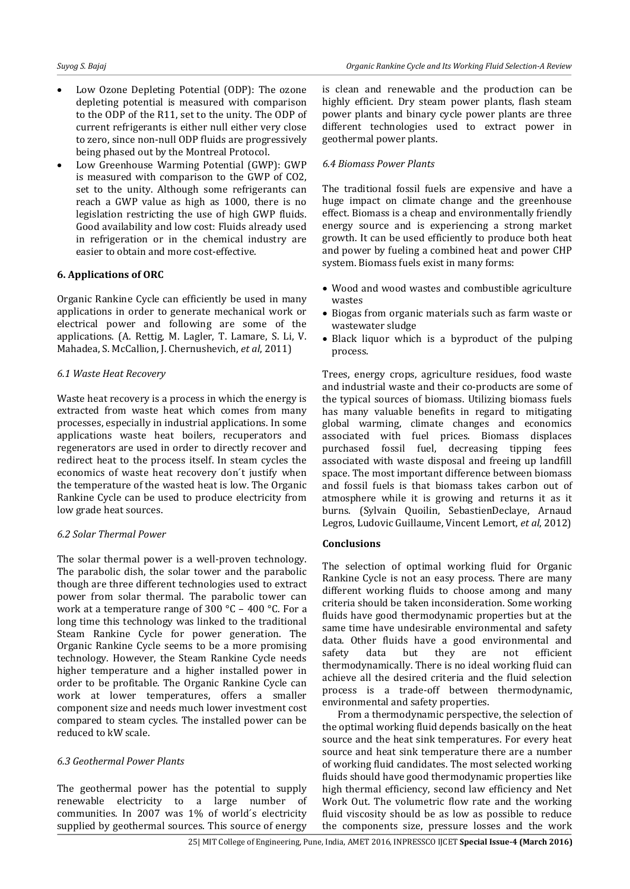- Low Ozone Depleting Potential (ODP): The ozone depleting potential is measured with comparison to the ODP of the R11, set to the unity. The ODP of current refrigerants is either null either very close to zero, since non-null ODP fluids are progressively being phased out by the Montreal Protocol.
- Low Greenhouse Warming Potential (GWP): GWP is measured with comparison to the GWP of CO2, set to the unity. Although some refrigerants can reach a GWP value as high as 1000, there is no legislation restricting the use of high GWP fluids. Good availability and low cost: Fluids already used in refrigeration or in the chemical industry are easier to obtain and more cost-effective.

#### **6. Applications of ORC**

Organic Rankine Cycle can efficiently be used in many applications in order to generate mechanical work or electrical power and following are some of the applications. (A. Rettig, M. Lagler, T. Lamare, S. Li, V. Mahadea, S. McCallion, J. Chernushevich, *et al*, 2011)

#### *6.1 Waste Heat Recovery*

Waste heat recovery is a process in which the energy is extracted from waste heat which comes from many processes, especially in industrial applications. In some applications waste heat boilers, recuperators and regenerators are used in order to directly recover and redirect heat to the process itself. In steam cycles the economics of waste heat recovery don´t justify when the temperature of the wasted heat is low. The Organic Rankine Cycle can be used to produce electricity from low grade heat sources.

#### *6.2 Solar Thermal Power*

The solar thermal power is a well-proven technology. The parabolic dish, the solar tower and the parabolic though are three different technologies used to extract power from solar thermal. The parabolic tower can work at a temperature range of 300 °C – 400 °C. For a long time this technology was linked to the traditional Steam Rankine Cycle for power generation. The Organic Rankine Cycle seems to be a more promising technology. However, the Steam Rankine Cycle needs higher temperature and a higher installed power in order to be profitable. The Organic Rankine Cycle can work at lower temperatures, offers a smaller component size and needs much lower investment cost compared to steam cycles. The installed power can be reduced to kW scale.

#### *6.3 Geothermal Power Plants*

The geothermal power has the potential to supply renewable electricity to a large number of communities. In 2007 was 1% of world´s electricity supplied by geothermal sources. This source of energy

is clean and renewable and the production can be highly efficient. Dry steam power plants, flash steam power plants and binary cycle power plants are three different technologies used to extract power in geothermal power plants.

#### *6.4 Biomass Power Plants*

The traditional fossil fuels are expensive and have a huge impact on climate change and the greenhouse effect. Biomass is a cheap and environmentally friendly energy source and is experiencing a strong market growth. It can be used efficiently to produce both heat and power by fueling a combined heat and power CHP system. Biomass fuels exist in many forms:

- Wood and wood wastes and combustible agriculture wastes
- Biogas from organic materials such as farm waste or wastewater sludge
- Black liquor which is a byproduct of the pulping process.

Trees, energy crops, agriculture residues, food waste and industrial waste and their co-products are some of the typical sources of biomass. Utilizing biomass fuels has many valuable benefits in regard to mitigating global warming, climate changes and economics associated with fuel prices. Biomass displaces purchased fossil fuel, decreasing tipping fees associated with waste disposal and freeing up landfill space. The most important difference between biomass and fossil fuels is that biomass takes carbon out of atmosphere while it is growing and returns it as it burns. (Sylvain Quoilin, SebastienDeclaye, Arnaud Legros, Ludovic Guillaume, Vincent Lemort, *et al*, 2012)

#### **Conclusions**

The selection of optimal working fluid for Organic Rankine Cycle is not an easy process. There are many different working fluids to choose among and many criteria should be taken inconsideration. Some working fluids have good thermodynamic properties but at the same time have undesirable environmental and safety data. Other fluids have a good environmental and safety data but they are not efficient thermodynamically. There is no ideal working fluid can achieve all the desired criteria and the fluid selection process is a trade-off between thermodynamic, environmental and safety properties.

 From a thermodynamic perspective, the selection of the optimal working fluid depends basically on the heat source and the heat sink temperatures. For every heat source and heat sink temperature there are a number of working fluid candidates. The most selected working fluids should have good thermodynamic properties like high thermal efficiency, second law efficiency and Net Work Out. The volumetric flow rate and the working fluid viscosity should be as low as possible to reduce the components size, pressure losses and the work